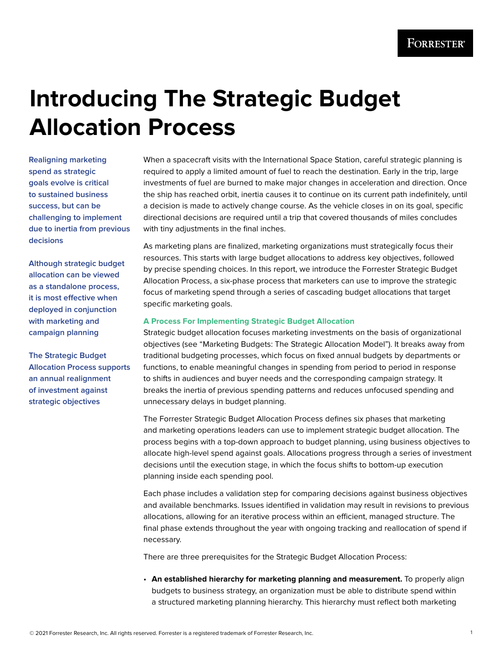# **Introducing The Strategic Budget Allocation Process**

**Realigning marketing spend as strategic goals evolve is critical to sustained business success, but can be challenging to implement due to inertia from previous decisions**

**Although strategic budget allocation can be viewed as a standalone process, it is most effective when deployed in conjunction with marketing and campaign planning**

**The Strategic Budget Allocation Process supports an annual realignment of investment against strategic objectives**

When a spacecraft visits with the International Space Station, careful strategic planning is required to apply a limited amount of fuel to reach the destination. Early in the trip, large investments of fuel are burned to make major changes in acceleration and direction. Once the ship has reached orbit, inertia causes it to continue on its current path indefinitely, until a decision is made to actively change course. As the vehicle closes in on its goal, specific directional decisions are required until a trip that covered thousands of miles concludes with tiny adjustments in the final inches.

As marketing plans are finalized, marketing organizations must strategically focus their resources. This starts with large budget allocations to address key objectives, followed by precise spending choices. In this report, we introduce the Forrester Strategic Budget Allocation Process, a six-phase process that marketers can use to improve the strategic focus of marketing spend through a series of cascading budget allocations that target specific marketing goals.

#### **A Process For Implementing Strategic Budget Allocation**

Strategic budget allocation focuses marketing investments on the basis of organizational objectives (see "Marketing Budgets: The Strategic Allocation Model"). It breaks away from traditional budgeting processes, which focus on fixed annual budgets by departments or functions, to enable meaningful changes in spending from period to period in response to shifts in audiences and buyer needs and the corresponding campaign strategy. It breaks the inertia of previous spending patterns and reduces unfocused spending and unnecessary delays in budget planning.

The Forrester Strategic Budget Allocation Process defines six phases that marketing and marketing operations leaders can use to implement strategic budget allocation. The process begins with a top-down approach to budget planning, using business objectives to allocate high-level spend against goals. Allocations progress through a series of investment decisions until the execution stage, in which the focus shifts to bottom-up execution planning inside each spending pool.

Each phase includes a validation step for comparing decisions against business objectives and available benchmarks. Issues identified in validation may result in revisions to previous allocations, allowing for an iterative process within an efficient, managed structure. The final phase extends throughout the year with ongoing tracking and reallocation of spend if necessary.

There are three prerequisites for the Strategic Budget Allocation Process:

• **An established hierarchy for marketing planning and measurement.** To properly align budgets to business strategy, an organization must be able to distribute spend within a structured marketing planning hierarchy. This hierarchy must reflect both marketing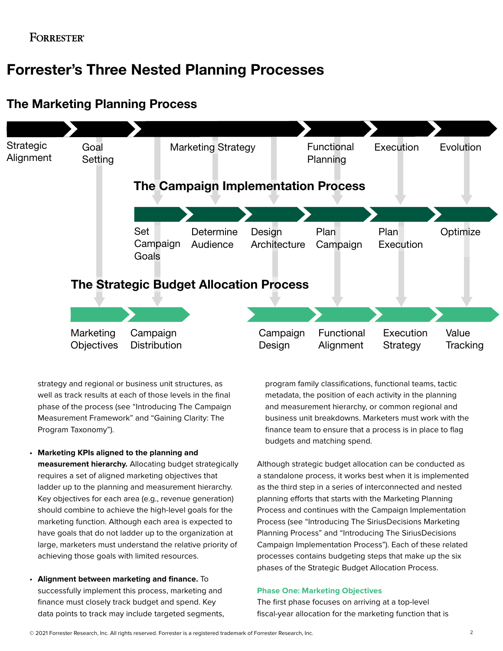## Forrester's Three Nested Planning Processes

#### Goal Marketing Strategy **Setting Functional** Planning Execution Evolution **Design Architecture** Set Campaign Goals **Determine** Audience **Strategic** Alignment Plan Campaign Plan **Execution Optimize** Marketing **Objectives** Campaign **Distribution** Campaign Design Functional Alignment **Execution** Strategy Value **Tracking** The Campaign Implementation Process The Strategic Budget Allocation Process

## The Marketing Planning Process

strategy and regional or business unit structures, as well as track results at each of those levels in the final phase of the process (see "Introducing The Campaign Measurement Framework" and "Gaining Clarity: The Program Taxonomy").

• **Marketing KPIs aligned to the planning and measurement hierarchy.** Allocating budget strategically requires a set of aligned marketing objectives that ladder up to the planning and measurement hierarchy. Key objectives for each area (e.g., revenue generation) should combine to achieve the high-level goals for the

marketing function. Although each area is expected to have goals that do not ladder up to the organization at large, marketers must understand the relative priority of achieving those goals with limited resources.

• **Alignment between marketing and finance.** To successfully implement this process, marketing and finance must closely track budget and spend. Key data points to track may include targeted segments, program family classifications, functional teams, tactic metadata, the position of each activity in the planning and measurement hierarchy, or common regional and business unit breakdowns. Marketers must work with the finance team to ensure that a process is in place to flag budgets and matching spend.

Although strategic budget allocation can be conducted as a standalone process, it works best when it is implemented as the third step in a series of interconnected and nested planning efforts that starts with the Marketing Planning Process and continues with the Campaign Implementation Process (see "Introducing The SiriusDecisions Marketing Planning Process" and "Introducing The SiriusDecisions Campaign Implementation Process"). Each of these related processes contains budgeting steps that make up the six phases of the Strategic Budget Allocation Process.

#### **Phase One: Marketing Objectives**

The first phase focuses on arriving at a top-level fiscal-year allocation for the marketing function that is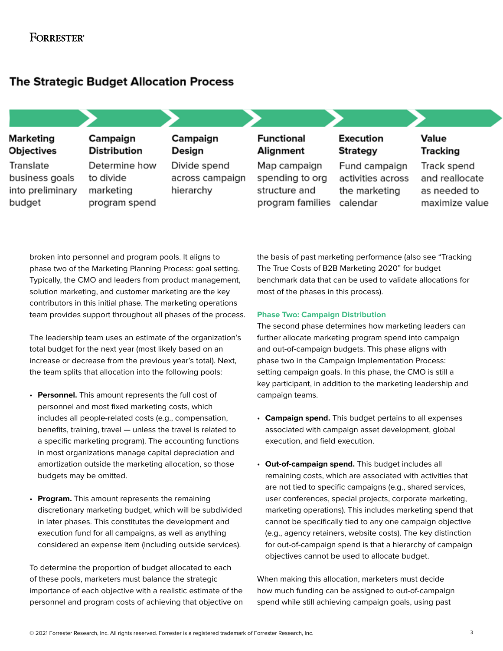## **FORRESTER®**

## **The Strategic Budget Allocation Process**

| Marketing<br><b>Objectives</b>                            | Campaign<br><b>Distribution</b>                          | Campaign<br>Design                           | <b>Functional</b><br>Alignment                                       | <b>Execution</b><br><b>Strategy</b>                             | Value<br>Tracking                                               |
|-----------------------------------------------------------|----------------------------------------------------------|----------------------------------------------|----------------------------------------------------------------------|-----------------------------------------------------------------|-----------------------------------------------------------------|
| Translate<br>business goals<br>into preliminary<br>budget | Determine how<br>to divide<br>marketing<br>program spend | Divide spend<br>across campaign<br>hierarchy | Map campaign<br>spending to org<br>structure and<br>program families | Fund campaign<br>activities across<br>the marketing<br>calendar | Track spend<br>and reallocate<br>as needed to<br>maximize value |

broken into personnel and program pools. It aligns to phase two of the Marketing Planning Process: goal setting. Typically, the CMO and leaders from product management, solution marketing, and customer marketing are the key contributors in this initial phase. The marketing operations team provides support throughout all phases of the process.

The leadership team uses an estimate of the organization's total budget for the next year (most likely based on an increase or decrease from the previous year's total). Next, the team splits that allocation into the following pools:

- **Personnel.** This amount represents the full cost of personnel and most fixed marketing costs, which includes all people-related costs (e.g., compensation, benefits, training, travel — unless the travel is related to a specific marketing program). The accounting functions in most organizations manage capital depreciation and amortization outside the marketing allocation, so those budgets may be omitted.
- **Program.** This amount represents the remaining discretionary marketing budget, which will be subdivided in later phases. This constitutes the development and execution fund for all campaigns, as well as anything considered an expense item (including outside services).

To determine the proportion of budget allocated to each of these pools, marketers must balance the strategic importance of each objective with a realistic estimate of the personnel and program costs of achieving that objective on the basis of past marketing performance (also see "Tracking The True Costs of B2B Marketing 2020" for budget benchmark data that can be used to validate allocations for most of the phases in this process).

#### **Phase Two: Campaign Distribution**

The second phase determines how marketing leaders can further allocate marketing program spend into campaign and out-of-campaign budgets. This phase aligns with phase two in the Campaign Implementation Process: setting campaign goals. In this phase, the CMO is still a key participant, in addition to the marketing leadership and campaign teams.

- **Campaign spend.** This budget pertains to all expenses associated with campaign asset development, global execution, and field execution.
- **Out-of-campaign spend.** This budget includes all remaining costs, which are associated with activities that are not tied to specific campaigns (e.g., shared services, user conferences, special projects, corporate marketing, marketing operations). This includes marketing spend that cannot be specifically tied to any one campaign objective (e.g., agency retainers, website costs). The key distinction for out-of-campaign spend is that a hierarchy of campaign objectives cannot be used to allocate budget.

When making this allocation, marketers must decide how much funding can be assigned to out-of-campaign spend while still achieving campaign goals, using past